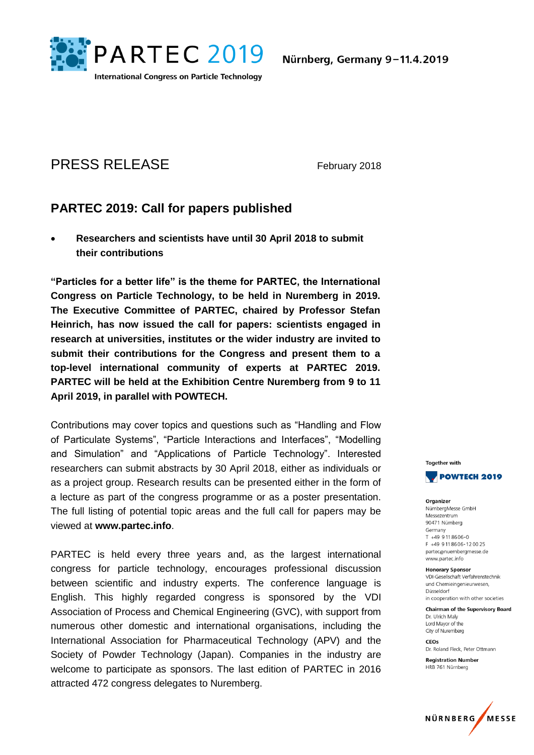

# PRESS RELEASE February 2018

## **PARTEC 2019: Call for papers published**

 **Researchers and scientists have until 30 April 2018 to submit their contributions**

**"Particles for a better life" is the theme for PARTEC, the International Congress on Particle Technology, to be held in Nuremberg in 2019. The Executive Committee of PARTEC, chaired by Professor Stefan Heinrich, has now issued the call for papers: scientists engaged in research at universities, institutes or the wider industry are invited to submit their contributions for the Congress and present them to a top-level international community of experts at PARTEC 2019. PARTEC will be held at the Exhibition Centre Nuremberg from 9 to 11 April 2019, in parallel with POWTECH.**

Contributions may cover topics and questions such as "Handling and Flow of Particulate Systems", "Particle Interactions and Interfaces", "Modelling and Simulation" and "Applications of Particle Technology". Interested researchers can submit abstracts by 30 April 2018, either as individuals or as a project group. Research results can be presented either in the form of a lecture as part of the congress programme or as a poster presentation. The full listing of potential topic areas and the full call for papers may be viewed at **www.partec.info**.

PARTEC is held every three years and, as the largest international congress for particle technology, encourages professional discussion between scientific and industry experts. The conference language is English. This highly regarded congress is sponsored by the VDI Association of Process and Chemical Engineering (GVC), with support from numerous other domestic and international organisations, including the International Association for Pharmaceutical Technology (APV) and the Society of Powder Technology (Japan). Companies in the industry are welcome to participate as sponsors. The last edition of PARTEC in 2016 attracted 472 congress delegates to Nuremberg.



Organizer NürnbergMesse GmbH Messezentrum 90471 Nürnberg Germany  $T + 499118606 - 0$ F +49 9 11 86 06 - 12 00 25 partec@nuernbergmesse.de www.partec.info

**Honorary Sponsor** VDI-Gesellschaft Verfahrenstechnik und Chemieingenieurwesen, Düsseldorf in cooperation with other societies

**Chairman of the Supervisory Board** Dr. Ulrich Maly Lord Mayor of the

City of Nuremberg CEOS Dr. Roland Fleck, Peter Ottmann

**Registration Number** HRB 761 Nürnberg